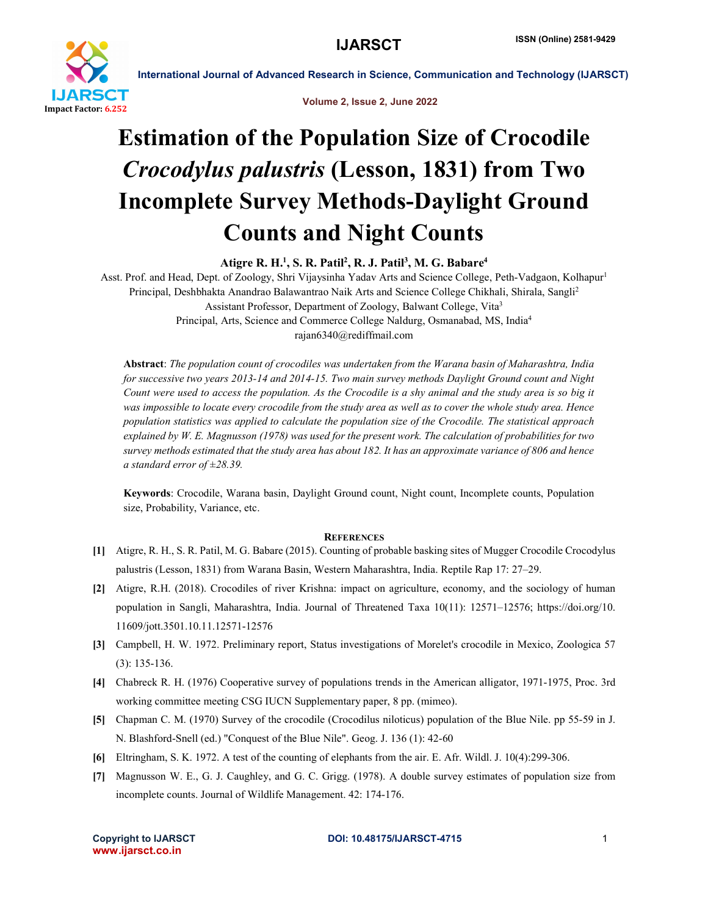

International Journal of Advanced Research in Science, Communication and Technology (IJARSCT)

Volume 2, Issue 2, June 2022

# Estimation of the Population Size of Crocodile *Crocodylus palustris* (Lesson, 1831) from Two Incomplete Survey Methods-Daylight Ground Counts and Night Counts

Atigre R. H.<sup>1</sup>, S. R. Patil<sup>2</sup>, R. J. Patil<sup>3</sup>, M. G. Babare<sup>4</sup>

Asst. Prof. and Head, Dept. of Zoology, Shri Vijaysinha Yadav Arts and Science College, Peth-Vadgaon, Kolhapur<sup>1</sup> Principal, Deshbhakta Anandrao Balawantrao Naik Arts and Science College Chikhali, Shirala, Sangli<sup>2</sup> Assistant Professor, Department of Zoology, Balwant College, Vita3 Principal, Arts, Science and Commerce College Naldurg, Osmanabad, MS, India4 rajan6340@rediffmail.com

Abstract: *The population count of crocodiles was undertaken from the Warana basin of Maharashtra, India for successive two years 2013-14 and 2014-15. Two main survey methods Daylight Ground count and Night Count were used to access the population. As the Crocodile is a shy animal and the study area is so big it was impossible to locate every crocodile from the study area as well as to cover the whole study area. Hence population statistics was applied to calculate the population size of the Crocodile. The statistical approach explained by W. E. Magnusson (1978) was used for the present work. The calculation of probabilities for two survey methods estimated that the study area has about 182. It has an approximate variance of 806 and hence a standard error of ±28.39.* 

Keywords: Crocodile, Warana basin, Daylight Ground count, Night count, Incomplete counts, Population size, Probability, Variance, etc.

# **REFERENCES**

- [1] Atigre, R. H., S. R. Patil, M. G. Babare (2015). Counting of probable basking sites of Mugger Crocodile Crocodylus palustris (Lesson, 1831) from Warana Basin, Western Maharashtra, India. Reptile Rap 17: 27–29.
- [2] Atigre, R.H. (2018). Crocodiles of river Krishna: impact on agriculture, economy, and the sociology of human population in Sangli, Maharashtra, India. Journal of Threatened Taxa 10(11): 12571–12576; https://doi.org/10. 11609/jott.3501.10.11.12571-12576
- [3] Campbell, H. W. 1972. Preliminary report, Status investigations of Morelet's crocodile in Mexico, Zoologica 57 (3): 135-136.
- [4] Chabreck R. H. (1976) Cooperative survey of populations trends in the American alligator, 1971-1975, Proc. 3rd working committee meeting CSG IUCN Supplementary paper, 8 pp. (mimeo).
- [5] Chapman C. M. (1970) Survey of the crocodile (Crocodilus niloticus) population of the Blue Nile. pp 55-59 in J. N. Blashford-Snell (ed.) "Conquest of the Blue Nile". Geog. J. 136 (1): 42-60
- [6] Eltringham, S. K. 1972. A test of the counting of elephants from the air. E. Afr. Wildl. J. 10(4):299-306.
- [7] Magnusson W. E., G. J. Caughley, and G. C. Grigg. (1978). A double survey estimates of population size from incomplete counts. Journal of Wildlife Management. 42: 174-176.